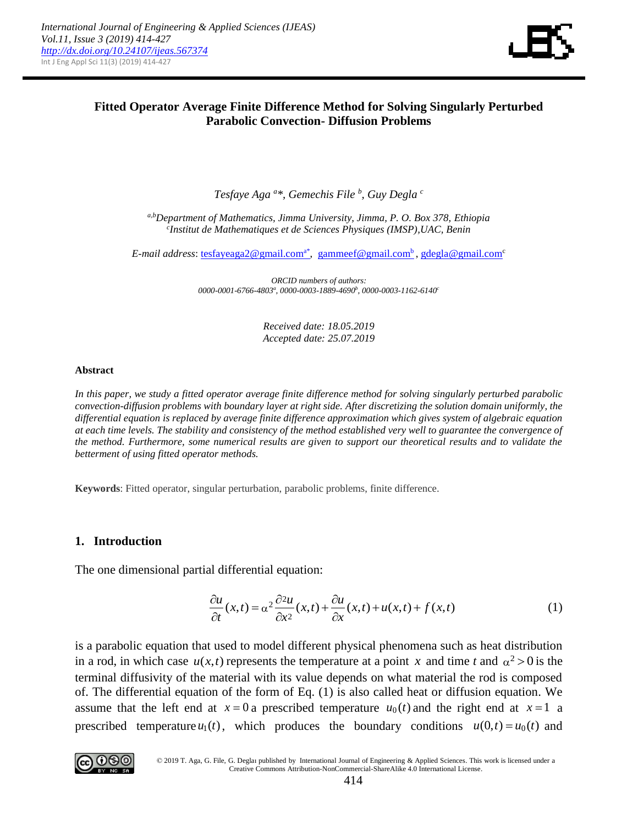

## **Fitted Operator Average Finite Difference Method for Solving Singularly Perturbed Parabolic Convection- Diffusion Problems**

*Tesfaye Aga <sup>a</sup> \*, Gemechis File <sup>b</sup> , Guy Degla <sup>c</sup>*

*a,bDepartment of Mathematics, Jimma University, Jimma, P. O. Box 378, Ethiopia c Institut de Mathematiques et de Sciences Physiques (IMSP),UAC, Benin*

E-mail address: [tesfayeaga2@gmail.com](mailto:tesfayeaga2@gmail.coma*)<sup>a\*</sup>, [gammeef@gmail.com](mailto:gammeef@gmail.comb)<sup>b</sup>, [gdegla@gmail.com](mailto:gdegla@gmail.com)<sup>c</sup>

*ORCID numbers of authors: 0000-0001-6766-4803<sup>a</sup> , 0000-0003-1889-4690<sup>b</sup> , 0000-0003-1162-6140<sup>c</sup>*

> *Received date: 18.05.2019 Accepted date: 25.07.2019*

#### **Abstract**

*In this paper, we study a fitted operator average finite difference method for solving singularly perturbed parabolic convection-diffusion problems with boundary layer at right side. After discretizing the solution domain uniformly, the differential equation is replaced by average finite difference approximation which gives system of algebraic equation at each time levels. The stability and consistency of the method established very well to guarantee the convergence of the method. Furthermore, some numerical results are given to support our theoretical results and to validate the betterment of using fitted operator methods.*

**Keywords**: Fitted operator, singular perturbation, parabolic problems, finite difference.

### **1. Introduction**

The one dimensional partial differential equation:  
\n
$$
\frac{\partial u}{\partial t}(x,t) = \alpha^2 \frac{\partial^2 u}{\partial x^2}(x,t) + \frac{\partial u}{\partial x}(x,t) + u(x,t) + f(x,t)
$$
\n(1)

is a parabolic equation that used to model different physical phenomena such as heat distribution in a rod, in which case  $u(x,t)$  represents the temperature at a point x and time t and  $\alpha^2 > 0$  is the terminal diffusivity of the material with its value depends on what material the rod is composed of. The differential equation of the form of Eq. (1) is also called heat or diffusion equation. We assume that the left end at  $x = 0$  a prescribed temperature  $u_0(t)$  and the right end at  $x = 1$  a prescribed temperature  $u_1(t)$ , which produces the boundary conditions  $u(0,t) = u_0(t)$  and



© 2019 T. Aga, G. File, G. Deglaı published by International Journal of Engineering & Applied Sciences. This work is licensed under a Creative Commons Attribution-NonCommercial-ShareAlike 4.0 International License.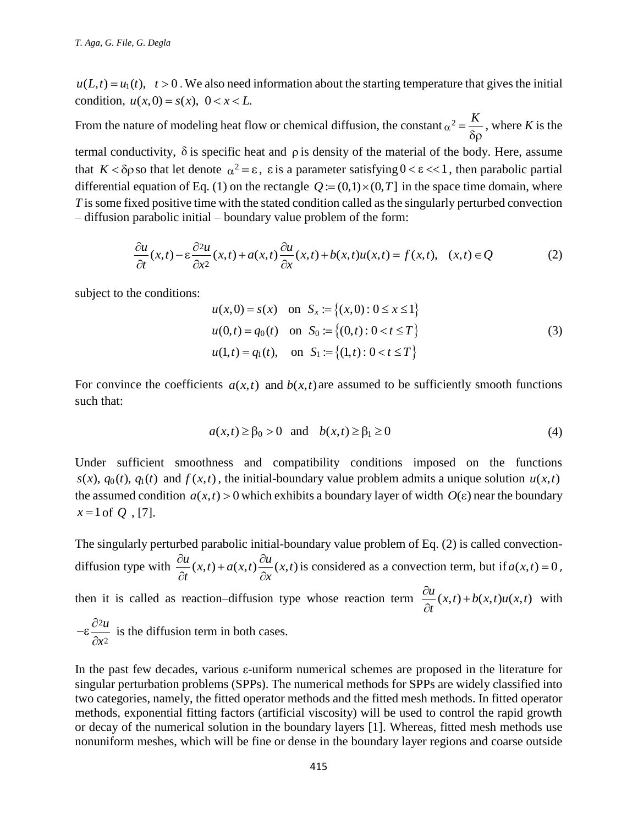condition,  $u(x,0) = s(x), 0 < x < L$ .

From the nature of modeling heat flow or chemical diffusion, the constant  $\alpha^2 = \frac{K}{2\pi}$  $\delta \rho$ , where *K* is the

termal conductivity,  $\delta$  is specific heat and  $\rho$  is density of the material of the body. Here, assume that  $K < \delta \rho$  so that let denote  $\alpha^2 = \varepsilon$ ,  $\varepsilon$  is a parameter satisfying  $0 < \varepsilon < 1$ , then parabolic partial differential equation of Eq. (1) on the rectangle  $Q = (0,1) \times (0,T]$  in the space time domain, where *T* is some fixed positive time with the stated condition called as the singularly perturbed convection – diffusion parabolic initial – boundary value problem of the form:

xed positive time with the stated condition called as the singularity perturbed convection parabolic initial – boundary value problem of the form:  
\n
$$
\frac{\partial u}{\partial t}(x,t) - \varepsilon \frac{\partial^2 u}{\partial x^2}(x,t) + a(x,t) \frac{\partial u}{\partial x}(x,t) + b(x,t)u(x,t) = f(x,t), \quad (x,t) ∈ Q
$$
\n(2)

subject to the conditions:

$$
u(x,0) = s(x) \text{ on } S_x := \{(x,0): 0 \le x \le 1\}
$$
  
 
$$
u(0,t) = q_0(t) \text{ on } S_0 := \{(0,t): 0 < t \le T\}
$$
  
 
$$
u(1,t) = q_1(t), \text{ on } S_1 := \{(1,t): 0 < t \le T\}
$$
 (3)

For convince the coefficients  $a(x,t)$  and  $b(x,t)$  are assumed to be sufficiently smooth functions such that:

$$
a(x,t) \ge \beta_0 > 0 \quad \text{and} \quad b(x,t) \ge \beta_1 \ge 0 \tag{4}
$$

Under sufficient smoothness and compatibility conditions imposed on the functions  $s(x)$ ,  $q_0(t)$ ,  $q_1(t)$  and  $f(x,t)$ , the initial-boundary value problem admits a unique solution  $u(x,t)$ the assumed condition  $a(x,t) > 0$  which exhibits a boundary layer of width  $O(\varepsilon)$  near the boundary  $x = 1$  of  $Q$ , [7].

*u* L<sub>1</sub> = *u*<sub>(*C*), *x* = 0. We also need information about the starting temperature that gives the initial<br>
From the nature of modeling boat flow or chemical diffusion, the constant  $\alpha^2 = \frac{K}{60}$ , where *K* is the<br></sub> The singularly perturbed parabolic initial-boundary value problem of Eq. (2) is called convectiondiffusion type with  $\frac{\partial u}{\partial x}(x,t) + a(x,t) \frac{\partial u}{\partial y}(x,t)$  $\frac{d}{dt}(x,t) + a(x,t) - \frac{d}{dx}$  $\frac{\partial u}{\partial t}(x,t) + a(x,t) \frac{\partial u}{\partial x}(x,t)$  is considered as a convection term, but if  $a(x,t) = 0$ , then it is called as reaction–diffusion type whose reaction term  $\frac{\partial u}{\partial x}(x,t) + b(x,t)u(x,t)$ *t*  $\frac{\partial u}{\partial t}(x,t) +$  $\partial$ with 2 2 *u x*  $-\varepsilon$  $\frac{\partial}{\partial}$  $\partial$ is the diffusion term in both cases.

In the past few decades, various  $\varepsilon$ -uniform numerical schemes are proposed in the literature for singular perturbation problems (SPPs). The numerical methods for SPPs are widely classified into two categories, namely, the fitted operator methods and the fitted mesh methods. In fitted operator methods, exponential fitting factors (artificial viscosity) will be used to control the rapid growth or decay of the numerical solution in the boundary layers [1]. Whereas, fitted mesh methods use nonuniform meshes, which will be fine or dense in the boundary layer regions and coarse outside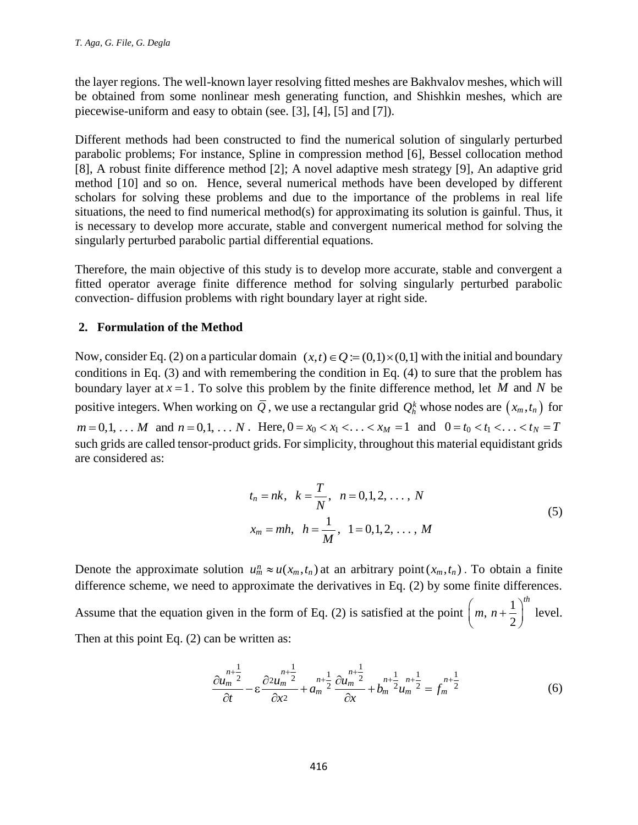the layer regions. The well-known layer resolving fitted meshes are Bakhvalov meshes, which will be obtained from some nonlinear mesh generating function, and Shishkin meshes, which are piecewise-uniform and easy to obtain (see. [3], [4], [5] and [7]).

Different methods had been constructed to find the numerical solution of singularly perturbed parabolic problems; For instance, Spline in compression method [6], Bessel collocation method [8], A robust finite difference method [2]; A novel adaptive mesh strategy [9], An adaptive grid method [10] and so on. Hence, several numerical methods have been developed by different scholars for solving these problems and due to the importance of the problems in real life situations, the need to find numerical method(s) for approximating its solution is gainful. Thus, it is necessary to develop more accurate, stable and convergent numerical method for solving the singularly perturbed parabolic partial differential equations.

Therefore, the main objective of this study is to develop more accurate, stable and convergent a fitted operator average finite difference method for solving singularly perturbed parabolic convection- diffusion problems with right boundary layer at right side.

## **2. Formulation of the Method**

Now, consider Eq. (2) on a particular domain  $(x,t) \in Q := (0,1) \times (0,1]$  with the initial and boundary conditions in Eq. (3) and with remembering the condition in Eq. (4) to sure that the problem has boundary layer at  $x = 1$ . To solve this problem by the finite difference method, let M and N be positive integers. When working on  $\overline{Q}$  , we use a rectangular grid  $Q_h^k$  whose nodes are  $(x_m,t_n)$  for positive integers. When working on Q, we use a rectangular grid  $Q_h^2$  whose nodes are  $(x_m, t_n)$  for  $m = 0, 1, \ldots, M$  and  $n = 0, 1, \ldots, N$ . Here,  $0 = x_0 < x_1 < \ldots < x_M = 1$  and  $0 = t_0 < t_1 < \ldots < t_N = T$ such grids are called tensor-product grids. For simplicity, throughout this material equidistant grids are considered as:

$$
t_n = nk, \quad k = \frac{T}{N}, \quad n = 0, 1, 2, \dots, N
$$
  

$$
x_m = mh, \quad h = \frac{1}{M}, \quad 1 = 0, 1, 2, \dots, M
$$
 (5)

Denote the approximate solution  $u_m^n \approx u(x_m, t_n)$  at an arbitrary point  $(x_m, t_n)$ . To obtain a finite difference scheme, we need to approximate the derivatives in Eq. (2) by some finite differences.

Assume that the equation given in the form of Eq. (2) is satisfied at the point  $\left( m, n + \frac{1}{2} \right)$ 2 *th*  $\left(m, n+\frac{1}{2}\right)^{m}$ level. Then at this point Eq. (2) can be written as:

$$
\frac{\partial u_m^{n+\frac{1}{2}}}{\partial t} - \varepsilon \frac{\partial^2 u_m^{n+\frac{1}{2}}}{\partial x^2} + a_m^{n+\frac{1}{2}} \frac{\partial u_m^{n+\frac{1}{2}}}{\partial x} + b_m^{n+\frac{1}{2}} u_m^{n+\frac{1}{2}} = f_m^{n+\frac{1}{2}} \tag{6}
$$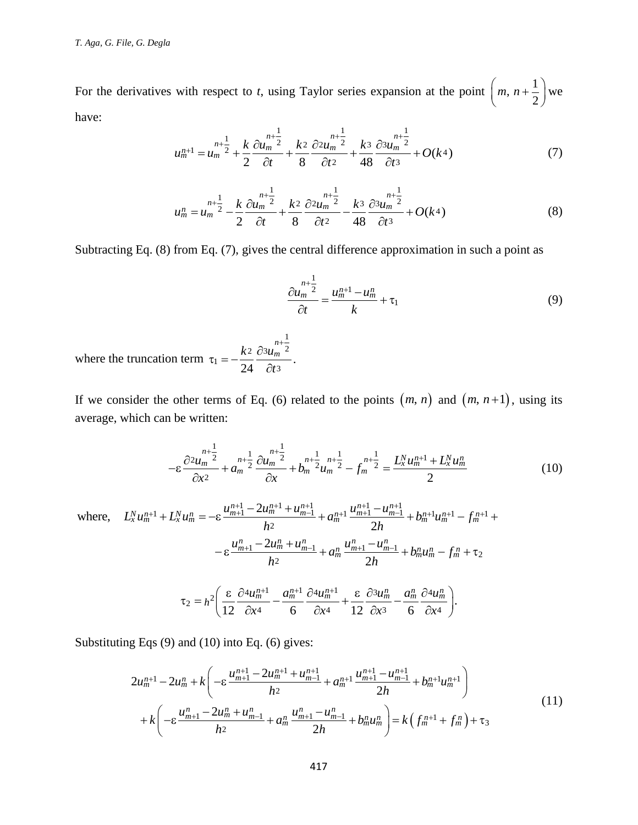For the derivatives with respect to *t*, using Taylor series expansion at the point  $\left( m, n+\frac{1}{2} \right)$ 2  $\left(m, n+\frac{1}{2}\right)$ we have:

$$
u_m^{n+1} = u_m^{n+\frac{1}{2}} + \frac{k}{2} \frac{\partial u_m^{n+\frac{1}{2}}}{\partial t} + \frac{k^2}{8} \frac{\partial^2 u_m^{n+\frac{1}{2}}}{\partial t^2} + \frac{k^3}{48} \frac{\partial^3 u_m^{n+\frac{1}{2}}}{\partial t^3} + O(k^4)
$$
 (7)

$$
u_m^n = u_m^{n+\frac{1}{2}} - \frac{k}{2} \frac{\partial u_m^{n+\frac{1}{2}}}{\partial t} + \frac{k^2}{8} \frac{\partial^2 u_m^{n+\frac{1}{2}}}{\partial t^2} - \frac{k^3}{48} \frac{\partial^3 u_m^{n+\frac{1}{2}}}{\partial t^3} + O(k^4)
$$
(8)

Subtracting Eq. (8) from Eq. (7), gives the central difference approximation in such a point as

$$
\frac{\partial u_m^{n+\frac{1}{2}}}{\partial t} = \frac{u_m^{n+1} - u_m^n}{k} + \tau_1
$$
\n(9)

where the truncation term 1 2  $\partial^3 u_m^2$  2  $t_1 = -\frac{\kappa^2}{24} \frac{\partial^2 u_m}{\partial t^3}.$ 24  $k^2 \partial^3 u_m^{n}$ *t*  $\tau_1 = -\frac{k^2}{24} \frac{\partial^3 u_m^{n+1}}{\partial x_m^{n-1}}$  $\partial$ 

If we consider the other terms of Eq. (6) related to the points  $(m, n)$  and  $(m, n+1)$ , using its average, which can be written:

$$
-\varepsilon \frac{\partial^2 u_m^{n+\frac{1}{2}}}{\partial x^2} + a_m^{n+\frac{1}{2}} \frac{\partial u_m^{n+\frac{1}{2}}}{\partial x} + b_m^{n+\frac{1}{2}} u_m^{n+\frac{1}{2}} - f_m^{n+\frac{1}{2}} = \frac{L_x^N u_m^{n+1} + L_x^N u_m^n}{2}
$$
\n
$$
L_x^N u_m^n = -\varepsilon \frac{u_{m+1}^{n+1} - 2u_m^{n+1} + u_{m-1}^{n+1}}{2} + a_m^{n+1} \frac{u_{m+1}^{n+1} - u_{m-1}^{n+1}}{2!} + b_m^{n+1} u_m^{n+1} - f_m^{n+1} +
$$
\n(10)

$$
-\varepsilon \frac{\partial^2 u_m^{n-2}}{\partial x^2} + a_m^{n+\frac{1}{2}} \frac{\partial u_m^{n-2}}{\partial x} + b_m^{n+\frac{1}{2}} u_m^{n+\frac{1}{2}} - f_m^{n+\frac{1}{2}} = \frac{L_x^N u_m^{n+1} + L_x^N u_m^n}{2}
$$
(10)  
where,  $L_x^N u_m^{n+1} + L_x^N u_m^n = -\varepsilon \frac{u_{m+1}^{n+1} - 2u_m^{n+1} + u_{m-1}^{n+1}}{h^2} + a_m^{n+1} \frac{u_{m+1}^{n+1} - u_{m-1}^{n+1}}{2h} + b_m^{n+1} u_m^{n+1} - f_m^{n+1} +$   

$$
-\varepsilon \frac{u_{m+1}^n - 2u_m^n + u_{m-1}^n}{h^2} + a_m^n \frac{u_{m+1}^n - u_{m-1}^n}{2h} + b_m^n u_m^n - f_m^n + \tau_2
$$
  

$$
\tau_2 = h^2 \left( \frac{\varepsilon}{12} \frac{\partial^2 u_m^{n+1}}{\partial x^4} - \frac{a_m^{n+1}}{6} \frac{\partial^2 u_m^{n+1}}{\partial x^4} + \frac{\varepsilon}{12} \frac{\partial^3 u_m^n}{\partial x^3} - \frac{a_m^n}{6} \frac{\partial^4 u_m^n}{\partial x^4} \right).
$$

Substituting Eqs (9) and (10) into Eq. (6) gives:  
\n
$$
2u_m^{n+1} - 2u_m^n + k \left( -\varepsilon \frac{u_{m+1}^{n+1} - 2u_m^{n+1} + u_{m-1}^{n+1}}{h^2} + a_m^{n+1} \frac{u_{m+1}^{n+1} - u_{m-1}^{n+1}}{2h} + b_m^{n+1} u_m^{n+1} \right) + k \left( -\varepsilon \frac{u_{m+1}^n - 2u_m^n + u_{m-1}^n}{h^2} + a_m^n \frac{u_{m+1}^n - u_{m-1}^n}{2h} + b_m^n u_m^n \right) = k \left( f_m^{n+1} + f_m^n \right) + \tau_3
$$
\n(11)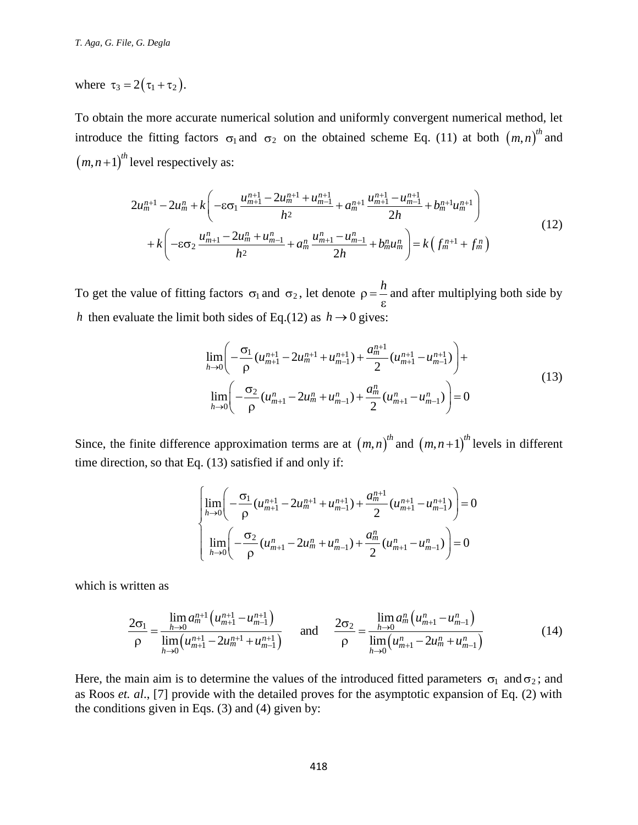where  $\tau_3 = 2(\tau_1 + \tau_2)$ .

To obtain the more accurate numerical solution and uniformly convergent numerical method, let introduce the fitting factors  $\sigma_1$  and  $\sigma_2$  on the obtained scheme Eq. (11) at both  $(m,n)^{th}$  and

$$
(m, n+1)^{th} \text{ level respectively as:}
$$
\n
$$
2u_{m}^{n+1} - 2u_{m}^{n} + k \left( -\varepsilon \sigma_{1} \frac{u_{m+1}^{n+1} - 2u_{m}^{n+1} + u_{m-1}^{n+1}}{h^{2}} + a_{m}^{n+1} \frac{u_{m+1}^{n+1} - u_{m-1}^{n+1}}{2h} + b_{m}^{n+1} u_{m}^{n+1} \right) + k \left( -\varepsilon \sigma_{2} \frac{u_{m+1}^{n} - 2u_{m}^{n} + u_{m-1}^{n}}{h^{2}} + a_{m}^{n} \frac{u_{m+1}^{n} - u_{m-1}^{n}}{2h} + b_{m}^{n} u_{m}^{n} \right) = k \left( f_{m}^{n+1} + f_{m}^{n} \right)
$$
\n
$$
(12)
$$

To get the value of fitting factors  $\sigma_1$  and  $\sigma_2$ , let denote  $\rho = \frac{h}{\sqrt{2}}$  $\epsilon$ and after multiplying both side by *h* then evaluate the limit both sides of Eq.(12) as  $h \to 0$  gives:<br>  $\lim_{n \to \infty} \left( -\frac{\sigma_1}{u^{n+1} - 2u^{n+1} + u^{n+1}} + \frac{a^{n+1}}{u^{n+1} - u^{n+1}} \right) +$ 

$$
\lim_{h \to 0} \left( -\frac{\sigma_1}{\rho} (u_{m+1}^{n+1} - 2u_m^{n+1} + u_{m-1}^{n+1}) + \frac{a_m^{n+1}}{2} (u_{m+1}^{n+1} - u_{m-1}^{n+1}) \right) +
$$
\n
$$
\lim_{h \to 0} \left( -\frac{\sigma_2}{\rho} (u_{m+1}^n - 2u_m^n + u_{m-1}^n) + \frac{a_m^n}{2} (u_{m+1}^n - u_{m-1}^n) \right) = 0
$$
\n(13)

Since, the finite difference approximation terms are at  $(m, n)^{th}$  and  $(m, n+1)^{th}$  levels in different time direction, so that Eq. (13) satisfied if and only if:

q. (13) satisfied if and only if:  
\n
$$
\left[\lim_{h\to 0} \left( -\frac{\sigma_1}{\rho} (u_{m+1}^{n+1} - 2u_m^{n+1} + u_{m-1}^{n+1}) + \frac{a_m^{n+1}}{2} (u_{m+1}^{n+1} - u_{m-1}^{n+1}) \right) = 0
$$
\n
$$
\lim_{h\to 0} \left( -\frac{\sigma_2}{\rho} (u_{m+1}^n - 2u_m^n + u_{m-1}^n) + \frac{a_m^n}{2} (u_{m+1}^n - u_{m-1}^n) \right) = 0
$$

which is written as

$$
\text{written as}
$$
\n
$$
\frac{2\sigma_1}{\rho} = \frac{\lim_{h \to 0} a_m^{n+1} \left( u_{m+1}^{n+1} - u_{m-1}^{n+1} \right)}{\lim_{h \to 0} \left( u_{m+1}^{n+1} - 2u_m^{n+1} + u_{m-1}^{n+1} \right)} \quad \text{and} \quad \frac{2\sigma_2}{\rho} = \frac{\lim_{h \to 0} a_m^n \left( u_{m+1}^n - u_{m-1}^n \right)}{\lim_{h \to 0} \left( u_{m+1}^n - 2u_m^n + u_{m-1}^n \right)} \tag{14}
$$

Here, the main aim is to determine the values of the introduced fitted parameters  $\sigma_1$  and  $\sigma_2$ ; and as Roos *et. al*., [7] provide with the detailed proves for the asymptotic expansion of Eq. (2) with the conditions given in Eqs.  $(3)$  and  $(4)$  given by: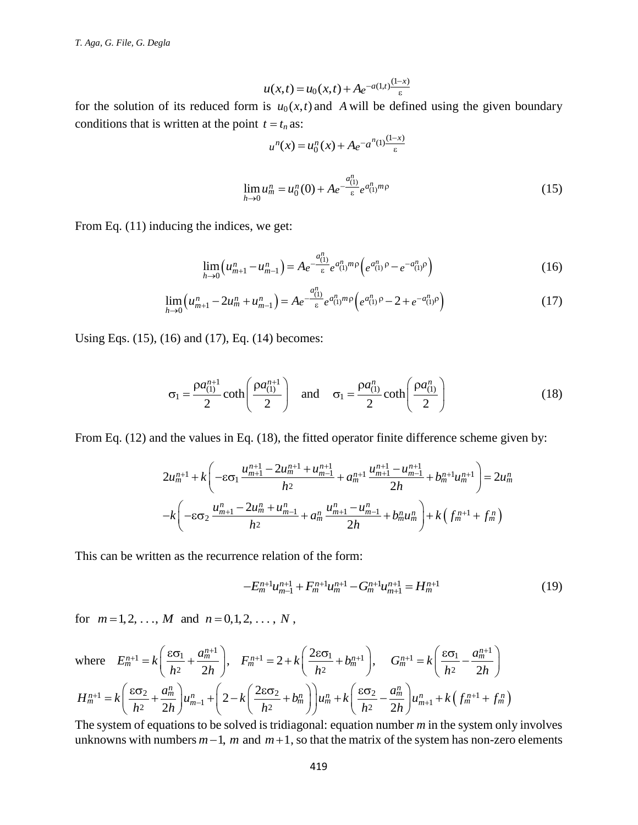$$
u(x,t) = u_0(x,t) + A e^{-a(1,t)\frac{(1-x)}{\epsilon}}
$$

for the solution of its reduced form is  $u_0(x,t)$  and A will be defined using the given boundary conditions that is written at the point  $t = t_n$  as:

$$
u^{n}(x) = u_{0}^{n}(x) + Ae^{-a^{n}(1)\frac{(1-x)}{\varepsilon}}
$$
  

$$
\lim_{h \to 0} u_{m}^{n} = u_{0}^{n}(0) + Ae^{-\frac{a_{(1)}^{n}}{\varepsilon}}e^{a_{(1)}^{n}m\rho}
$$
 (15)

From Eq.  $(11)$  inducing the indices, we get:

$$
\lim_{h \to 0} \left( u_{m+1}^n - u_{m-1}^n \right) = A e^{-\frac{a_{(1)}^n}{\varepsilon} e^{a_{(1)}^n m \rho}} \left( e^{a_{(1)}^n \rho} - e^{-a_{(1)}^n \rho} \right)
$$
(16)

$$
\lim_{h \to 0} (u_{m+1}^n - u_{m-1}^n) = A e^{-\varepsilon} e^{-\varepsilon (1)^n \rho} \left( e^{\alpha (1) \rho} - e^{-\alpha (1) \rho} \right)
$$
\n
$$
\lim_{h \to 0} \left( u_{m+1}^n - 2u_m^n + u_{m-1}^n \right) = A e^{-\frac{a_{(1)}^n}{\varepsilon}} e^{\alpha (1)^n \rho} \left( e^{a_{(1)}^n \rho} - 2 + e^{-a_{(1)}^n \rho} \right)
$$
\n(17)

Using Eqs. (15), (16) and (17), Eq. (14) becomes:

$$
\sigma_1 = \frac{\rho a_{(1)}^{n+1}}{2} \coth\left(\frac{\rho a_{(1)}^{n+1}}{2}\right) \quad \text{and} \quad \sigma_1 = \frac{\rho a_{(1)}^n}{2} \coth\left(\frac{\rho a_{(1)}^n}{2}\right) \tag{18}
$$

From Eq. (12) and the values in Eq. (18), the fitted operator finite difference scheme given by:  
\n
$$
2u_m^{n+1} + k \left( -\varepsilon \sigma_1 \frac{u_{m+1}^{n+1} - 2u_m^{n+1} + u_{m-1}^{n+1}}{h^2} + a_m^{n+1} \frac{u_{m+1}^{n+1} - u_{m-1}^{n+1}}{2h} + b_m^{n+1} u_m^{n+1} \right) = 2u_m^n
$$
\n
$$
-k \left( -\varepsilon \sigma_2 \frac{u_{m+1}^n - 2u_m^n + u_{m-1}^n}{h^2} + a_m^n \frac{u_{m+1}^n - u_{m-1}^n}{2h} + b_m^n u_m^n \right) + k \left( f_m^{n+1} + f_m^n \right)
$$

This can be written as the recurrence relation of the form:

$$
-E_m^{n+1}u_{m-1}^{n+1} + F_m^{n+1}u_m^{n+1} - G_m^{n+1}u_{m+1}^{n+1} = H_m^{n+1}
$$
 (19)

for  $m = 1, 2, ..., M$  and  $n = 0, 1, 2, ..., N$ ,

$$
u(x,t) = u_0(x,t) + A_e^{-\alpha(1,t)} \frac{(1-x)}{\varepsilon}
$$
  
\nfor the solution of its reduced form is  $u_0(x,t)$  and A will be defined using the given boundary  
\nconditions that is written at the point  $t = t_n$  as:  
\n
$$
u^{\alpha}(x) = u_0^{\alpha}(x) + A_e^{-\alpha} \frac{a_0^{\alpha}(1)}{\varepsilon}
$$
\n
$$
\lim_{h \to 0} u_n^{\alpha} = u_0^{\alpha}(0) + A_e^{-\alpha} \frac{a_0^{\alpha}(1)}{\varepsilon}
$$
\n
$$
\lim_{h \to 0} (u_{m+1}^{\alpha} - u_{m-1}^{\alpha}) = A_e^{-\frac{\alpha(0)}{\varepsilon}} e^{\alpha_0^{\alpha}(1)^n p} \left(e^{\alpha_0^{\alpha}(1)^n} - e^{-\alpha_0^{\alpha}(1)^n}\right) \qquad (16)
$$
\n
$$
\lim_{h \to 0} (u_{m+1}^{\alpha} - 2u_m^{\alpha} + u_{m-1}^{\alpha}) = A_e^{-\frac{\alpha(0)}{\varepsilon}} e^{\alpha_0^{\alpha}(1)^n p} \left(e^{\alpha_0^{\alpha}(1)^n} - 2 + e^{-\alpha_0^{\alpha}(1)^n}\right) \qquad (17)
$$
\nUsing Eqs. (15), (16) and (17), Eq. (14) becomes:  
\n
$$
\sigma_1 = \frac{\rho a_0^{\alpha+1}}{2} \coth\left(\frac{\rho a_0^{\alpha+1}}{2}\right) \qquad \text{and} \qquad \sigma_1 = \frac{\rho a_0^{\alpha}(1)^{\alpha+1} \rho}{2} \coth\left(\frac{\rho a_0^{\alpha}(1)}{2}\right) \qquad (18)
$$
\nFrom Eq. (12) and the values in Eq. (18), the fitted operator finite difference scheme given by:  
\n
$$
2u_m^{\alpha+1} + k \left( -c\sigma_1 \frac{u_{m+1}^{\alpha+1} - 2u_m^{\alpha+1} + u_{m-1}^{\alpha+1}}{h^2} + a_m^{\alpha+1} \frac{u_{m+1}^{\alpha+1} - u_{m-1}^{\alpha+1}}{2h} + b_m^{\alpha+1} u_m^{\alpha}\right) + k \left( f_m^{\alpha+1} + f_m^{\alpha} \right)
$$
\

unknowns with numbers  $m-1$ , m and  $m+1$ , so that the matrix of the system has non-zero elements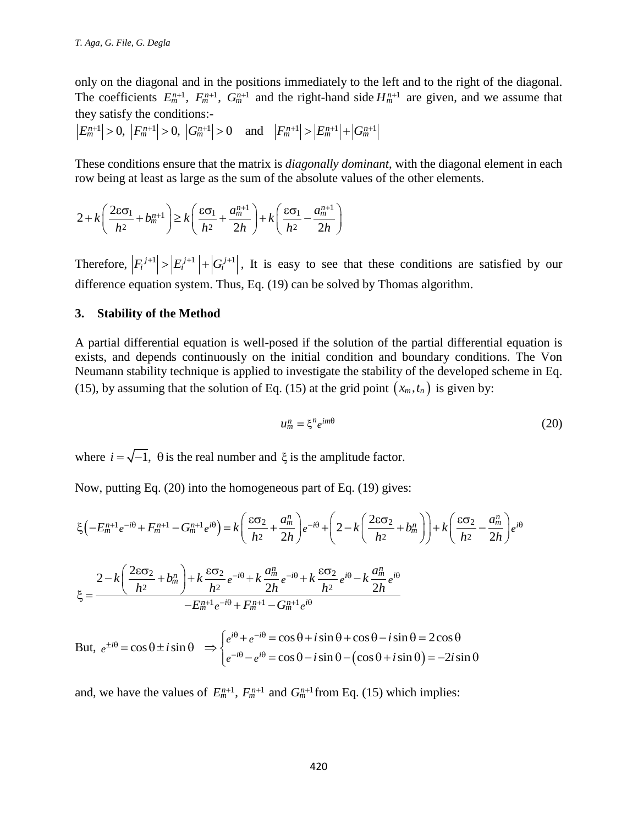only on the diagonal and in the positions immediately to the left and to the right of the diagonal. The coefficients  $E_m^{n+1}$ ,  $F_m^{n+1}$ ,  $G_m^{n+1}$  and the right-hand side  $H_m^{n+1}$  are given, and we assume that they satisfy the conditions:- The coefficients  $E_m^{n+1}$ ,  $F_m^{n+1}$ ,  $G_m^{n+1}$  and the right-hand side  $H_m^{n+1}$ <br>hey satisfy the conditions:-<br> $E_m^{n+1}| > 0$ ,  $|F_m^{n+1}| > 0$ ,  $|G_m^{n+1}| > 0$  and  $|F_m^{n+1}| > |E_m^{n+1}| + |G_m^{n+1}|$ 

These conditions ensure that the matrix is *diagonally dominant*, with the diagonal element in each

row being at least as large as the sum of the absolute values of the other elements.  
\n
$$
2 + k \left( \frac{2 \varepsilon \sigma_1}{h^2} + b_m^{n+1} \right) \ge k \left( \frac{\varepsilon \sigma_1}{h^2} + \frac{a_m^{n+1}}{2h} \right) + k \left( \frac{\varepsilon \sigma_1}{h^2} - \frac{a_m^{n+1}}{2h} \right)
$$

Therefore,  $|F_i^{j+1}| > |E_i^{j+1}| + |G_i^{j+1}|$ , It is easy to see that these conditions are satisfied by our difference equation system. Thus, Eq. (19) can be solved by Thomas algorithm.

#### **3. Stability of the Method**

A partial differential equation is well-posed if the solution of the partial differential equation is exists, and depends continuously on the initial condition and boundary conditions. The Von Neumann stability technique is applied to investigate the stability of the developed scheme in Eq. (15), by assuming that the solution of Eq. (15) at the grid point  $(x_m, t_n)$  is given by:

$$
u_m^n = \xi^n e^{im\theta} \tag{20}
$$

where  $i = \sqrt{-1}$ ,  $\theta$  is the real number and  $\xi$  is the amplitude factor.

Now, putting Eq. (20) into the homogeneous part of Eq. (19) gives:  
\n
$$
\xi\left(-E_m^{n+1}e^{-i\theta} + F_m^{n+1} - G_m^{n+1}e^{i\theta}\right) = k\left(\frac{\epsilon\sigma_2}{h^2} + \frac{a_m^n}{2h}\right)e^{-i\theta} + \left(2 - k\left(\frac{2\epsilon\sigma_2}{h^2} + b_m^n\right)\right) + k\left(\frac{\epsilon\sigma_2}{h^2} - \frac{a_m^n}{2h}\right)e^{i\theta}
$$
\n
$$
\xi = \frac{2 - k\left(\frac{2\epsilon\sigma_2}{h^2} + b_m^n\right) + k\frac{\epsilon\sigma_2}{h^2}e^{-i\theta} + k\frac{a_m^n}{2h}e^{-i\theta} + k\frac{\epsilon\sigma_2}{h^2}e^{i\theta} - k\frac{a_m^n}{2h}e^{i\theta}}{-E_m^{n+1}e^{-i\theta} + F_m^{n+1} - G_m^{n+1}e^{i\theta}}
$$
\nBut,  $e^{\pm i\theta} = \cos\theta \pm i\sin\theta \implies \int e^{i\theta} + e^{-i\theta} = \cos\theta + i\sin\theta + \cos\theta - i\sin\theta = 2\cos\theta$ 

But,  $(\cos\theta + i\sin\theta)$  $\frac{G_m^{n+1}e^{i\theta}}{\cos\theta + i\sin\theta + \cos\theta - i\sin\theta} = 2\cos\theta$  $\cos \theta \pm i \sin \theta$  $-E_m^{n+1}e^{-i\theta} + F_m^{n+1} - G_m^{n+1}e^{i\theta}$ <br>  $i\theta = \cos\theta \pm i\sin\theta \implies \begin{cases} e^{i\theta} + e^{-i\theta} = \cos\theta + i\sin\theta + \cos\theta - i\sin\theta = 2\cos\theta \\ e^{-i\theta} - e^{i\theta} = \cos\theta - i\sin\theta - (\cos\theta + i\sin\theta) = -2i\sin\theta \end{cases}$  $i\theta + e^{-i}$ <br> $i\theta - e^{i}$  $-E_m^{n+1}e^{-i\theta} + F_n^i$ <br> $e^{\pm i\theta} = \cos\theta \pm i\sin\theta \implies e^{i\theta} + e_n^i$  $e^{i\theta} + e^{-\theta}$ <br> $e^{-i\theta} - e^{-\theta}$  $- E_m^{n+1} e^{-i\theta} + F_m^{n+1} - G_m^{n+1} e^{i\theta}$ <br>  $i \sin \theta \implies e^{i\theta} + e^{-i\theta} = \cos \theta + i \sin \theta + \cos \theta - i$ +  $F_m^{n+1} - G_m^{n+1} e^{i\theta}$ <br>  $\theta + e^{-i\theta} = \cos \theta + i \sin \theta + \cos \theta - i \sin \theta = 2 \cos \theta$ <br>  $\vec{a} \cdot \vec{b} - e^{i\theta} = \cos \theta - i \sin \theta - (\cos \theta + i \sin \theta) = -2i$  $\pm i\theta = \cos \theta$  $i\theta + e^{-i\theta} = \cos \theta$ <br> $-i\theta - e^{i\theta} = \cos \theta$  $-E_m^{n+1}e^{-i\theta} + F_m^{n+1}$ <br>=  $\cos \theta \pm i \sin \theta$   $\Rightarrow$   $\begin{cases} e^{i\theta} + e^{-i\theta} \\ e^{-i\theta} - e^{i\theta} \end{cases}$  $\int e^{i\theta} + e^{-i\theta} = \cos\theta + i\sin\theta + \cos\theta - i\sin\theta = 2\cos\theta$ <br> $\int e^{-i\theta} - e^{i\theta} = \cos\theta - i\sin\theta - (\cos\theta + i\sin\theta) = -2i\sin\theta$ 

and, we have the values of  $E_m^{n+1}$ ,  $F_m^{n+1}$  and  $G_m^{n+1}$  from Eq. (15) which implies: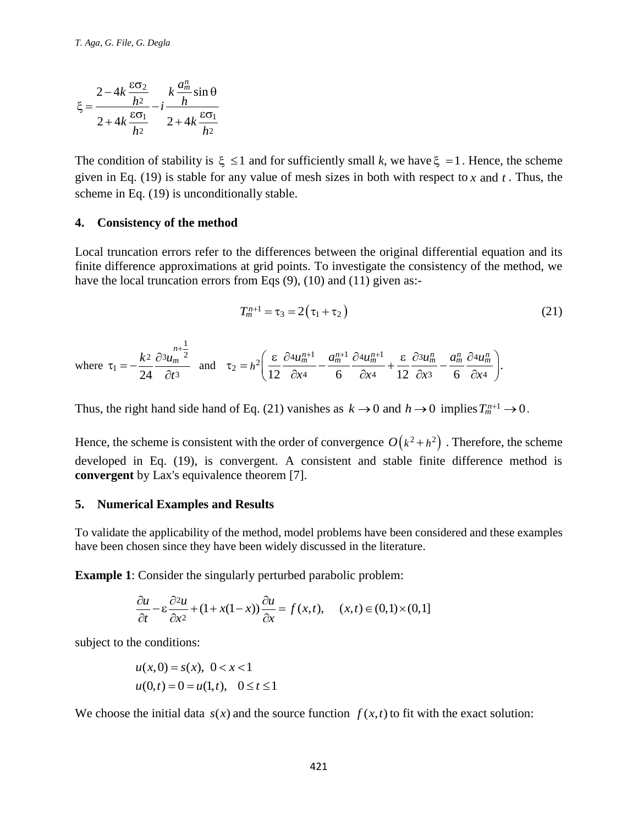$$
\xi = \frac{2 - 4k \frac{\varepsilon \sigma_2}{h^2}}{2 + 4k \frac{\varepsilon \sigma_1}{h^2}} - i \frac{k \frac{a_m^n}{h} \sin \theta}{2 + 4k \frac{\varepsilon \sigma_1}{h^2}}
$$

The condition of stability is  $\xi \leq 1$  and for sufficiently small k, we have  $\xi = 1$ . Hence, the scheme given in Eq. (19) is stable for any value of mesh sizes in both with respect to  $x$  and  $t$ . Thus, the scheme in Eq. (19) is unconditionally stable.

#### **4. Consistency of the method**

Local truncation errors refer to the differences between the original differential equation and its finite difference approximations at grid points. To investigate the consistency of the method, we have the local truncation errors from Eqs (9), (10) and (11) given as:-

$$
T_m^{n+1} = \tau_3 = 2(\tau_1 + \tau_2)
$$
 (21)

where 
$$
\tau_1 = -\frac{k^2}{24} \frac{\partial^2 u_m^{n+\frac{1}{2}}}{\partial t^3}
$$
 and  $\tau_2 = h^2 \left( \frac{\varepsilon}{12} \frac{\partial^2 u_m^{n+1}}{\partial x^4} - \frac{a_m^{n+1}}{6} \frac{\partial^2 u_m^{n+1}}{\partial x^4} + \frac{\varepsilon}{12} \frac{\partial^2 u_m^n}{\partial x^3} - \frac{a_m^n}{6} \frac{\partial^2 u_m^n}{\partial x^4} \right)$ .

Thus, the right hand side hand of Eq. (21) vanishes as  $k \to 0$  and  $h \to 0$  implies  $T_m^{n+1} \to 0$ .

 $\frac{2}{\frac{1}{2}}$   $k \frac{d\frac{d\pi}{m}}{h} \sin \theta$ <br>  $\frac{1}{2} + 4k \frac{6\sigma_1}{h^2}$ <br>
(of stability is  $\xi \le 1$  and for sufficies<br>
(19) is stable for any value of mesh :<br>
(19) is unconditionally stable.<br> **ney of the method**<br>
(ion errors re Hence, the scheme is consistent with the order of convergence  $O(k^2 + h^2)$ . Therefore, the scheme developed in Eq. (19), is convergent. A consistent and stable finite difference method is **convergent** by Lax's equivalence theorem [7].

#### **5. Numerical Examples and Results**

To validate the applicability of the method, model problems have been considered and these examples have been chosen since they have been widely discussed in the literature.

**Example 1:** Consider the singularity perturbed parabolic problem:  
\n
$$
\frac{\partial u}{\partial t} - \varepsilon \frac{\partial^2 u}{\partial x^2} + (1 + x(1 - x)) \frac{\partial u}{\partial x} = f(x, t), \quad (x, t) \in (0, 1) \times (0, 1]
$$

subject to the conditions:

$$
u(x,0) = s(x), \ 0 < x < 1
$$
  
 
$$
u(0,t) = 0 = u(1,t), \ 0 \le t \le 1
$$

We choose the initial data  $s(x)$  and the source function  $f(x,t)$  to fit with the exact solution: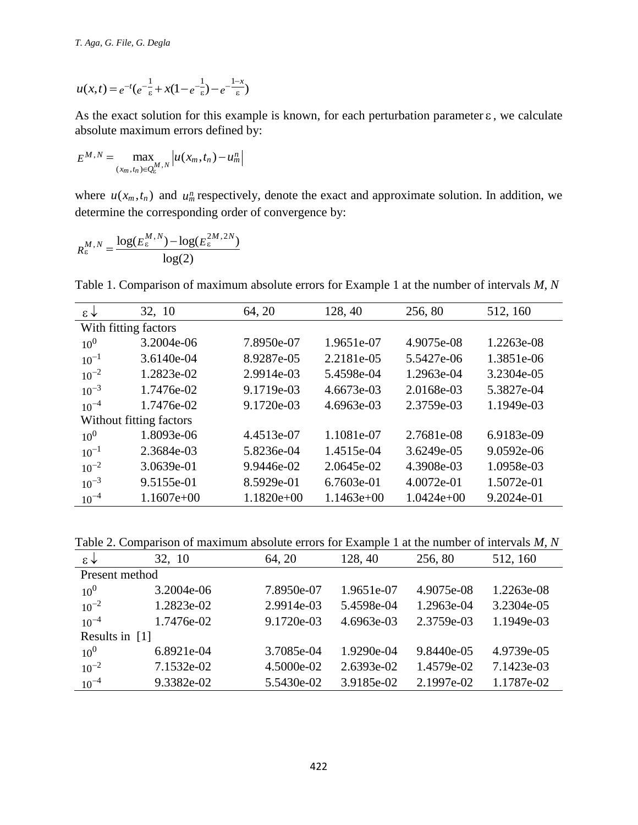$$
u(x,t) = e^{-t} \left(e^{-\frac{1}{\varepsilon}} + x(1 - e^{-\frac{1}{\varepsilon}}) - e^{-\frac{1 - x}{\varepsilon}}\right)
$$

$$
E^{M,N} = \max_{(x_m, t_n) \in Q_{\epsilon}^{M,N}} \left| u(x_m, t_n) - u_m^n \right|
$$

$$
R_{\varepsilon}^{M,N} = \frac{\log(E_{\varepsilon}^{M,N}) - \log(E_{\varepsilon}^{2M,2N})}{\log(2)}
$$

| $u(x,t) = e^{-t} (e^{-\frac{1}{\varepsilon}} + x(1-e^{-\frac{1}{\varepsilon}}) - e^{-\frac{1-x}{\varepsilon}})$                                      |                                                                                                                                                                  |              |              |              |            |  |  |
|------------------------------------------------------------------------------------------------------------------------------------------------------|------------------------------------------------------------------------------------------------------------------------------------------------------------------|--------------|--------------|--------------|------------|--|--|
| As the exact solution for this example is known, for each perturbation parameter $\varepsilon$ , we calculate<br>absolute maximum errors defined by: |                                                                                                                                                                  |              |              |              |            |  |  |
| $E^{M,N} = \max_{(x_m, t_n) \in Q_n^M, N} \left  u(x_m, t_n) - u_m^n \right $                                                                        |                                                                                                                                                                  |              |              |              |            |  |  |
|                                                                                                                                                      | where $u(x_m, t_n)$ and $u_m^n$ respectively, denote the exact and approximate solution. In addition, we<br>determine the corresponding order of convergence by: |              |              |              |            |  |  |
|                                                                                                                                                      |                                                                                                                                                                  |              |              |              |            |  |  |
|                                                                                                                                                      | $R_{\varepsilon}^{M,N} = \frac{\log(E_{\varepsilon}^{M,N}) - \log(E_{\varepsilon}^{2M,2N})}{\log(2)}$                                                            |              |              |              |            |  |  |
|                                                                                                                                                      |                                                                                                                                                                  |              |              |              |            |  |  |
|                                                                                                                                                      | Table 1. Comparison of maximum absolute errors for Example 1 at the number of intervals M, N                                                                     |              |              |              |            |  |  |
| $\epsilon \downarrow$                                                                                                                                | 32, 10                                                                                                                                                           | 64, 20       | 128, 40      | 256, 80      | 512, 160   |  |  |
|                                                                                                                                                      | With fitting factors                                                                                                                                             |              |              |              |            |  |  |
| 10 <sup>0</sup>                                                                                                                                      | 3.2004e-06                                                                                                                                                       | 7.8950e-07   | 1.9651e-07   | 4.9075e-08   | 1.2263e-08 |  |  |
| $10^{-1}$                                                                                                                                            | 3.6140e-04                                                                                                                                                       | 8.9287e-05   | 2.2181e-05   | 5.5427e-06   | 1.3851e-06 |  |  |
| $10^{-2}$                                                                                                                                            | 1.2823e-02                                                                                                                                                       | 2.9914e-03   | 5.4598e-04   | 1.2963e-04   | 3.2304e-05 |  |  |
| $10^{-3}$                                                                                                                                            | 1.7476e-02                                                                                                                                                       | 9.1719e-03   | 4.6673e-03   | 2.0168e-03   | 5.3827e-04 |  |  |
| $10^{-4}$                                                                                                                                            | 1.7476e-02                                                                                                                                                       | 9.1720e-03   | 4.6963e-03   | 2.3759e-03   | 1.1949e-03 |  |  |
|                                                                                                                                                      | Without fitting factors                                                                                                                                          |              |              |              |            |  |  |
| 10 <sup>0</sup>                                                                                                                                      | 1.8093e-06                                                                                                                                                       | 4.4513e-07   | 1.1081e-07   | 2.7681e-08   | 6.9183e-09 |  |  |
| $10^{-1}$                                                                                                                                            | 2.3684e-03                                                                                                                                                       | 5.8236e-04   | 1.4515e-04   | 3.6249e-05   | 9.0592e-06 |  |  |
| $10^{-2}$                                                                                                                                            | 3.0639e-01                                                                                                                                                       | 9.9446e-02   | 2.0645e-02   | 4.3908e-03   | 1.0958e-03 |  |  |
| $10^{-3}$                                                                                                                                            | 9.5155e-01                                                                                                                                                       | 8.5929e-01   | 6.7603e-01   | 4.0072e-01   | 1.5072e-01 |  |  |
| $10^{-4}$                                                                                                                                            | $1.1607e+00$                                                                                                                                                     | $1.1820e+00$ | $1.1463e+00$ | $1.0424e+00$ | 9.2024e-01 |  |  |
|                                                                                                                                                      |                                                                                                                                                                  |              |              |              |            |  |  |
| Table 2. Comparison of maximum absolute errors for Example 1 at the number of intervals $M$ , $N$                                                    |                                                                                                                                                                  |              |              |              |            |  |  |
| $\downarrow$                                                                                                                                         | 32, 10                                                                                                                                                           | 64, 20       | 128, 40      | 256, 80      | 512, 160   |  |  |
| Present method                                                                                                                                       |                                                                                                                                                                  |              |              |              |            |  |  |
| 10 <sup>0</sup>                                                                                                                                      | 3.2004e-06                                                                                                                                                       | 7.8950e-07   | 1.9651e-07   | 4.9075e-08   | 1.2263e-08 |  |  |
| $10^{-2}$                                                                                                                                            | 1.2823e-02                                                                                                                                                       | 2.9914e-03   | 5.4598e-04   | 1.2963e-04   | 3.2304e-05 |  |  |
| $10^{-4}$                                                                                                                                            | 1.7476e-02                                                                                                                                                       | 9.1720e-03   | 4.6963e-03   | 2.3759e-03   | 1.1949e-03 |  |  |
| Results in [1]                                                                                                                                       |                                                                                                                                                                  |              |              |              |            |  |  |
| 10 <sup>0</sup>                                                                                                                                      | 6.8921e-04                                                                                                                                                       | 3.7085e-04   | 1.9290e-04   | 9.8440e-05   | 4.9739e-05 |  |  |
| $10^{-2}$                                                                                                                                            | 7.1532e-02                                                                                                                                                       | 4.5000e-02   | 2.6393e-02   | 1.4579e-02   | 7.1423e-03 |  |  |
| $10^{-4}$                                                                                                                                            | 9.3382e-02                                                                                                                                                       | 5.5430e-02   | 3.9185e-02   | 2.1997e-02   | 1.1787e-02 |  |  |
|                                                                                                                                                      |                                                                                                                                                                  |              |              |              |            |  |  |
|                                                                                                                                                      |                                                                                                                                                                  |              |              |              |            |  |  |
|                                                                                                                                                      |                                                                                                                                                                  |              |              |              |            |  |  |
|                                                                                                                                                      |                                                                                                                                                                  |              |              |              |            |  |  |
|                                                                                                                                                      |                                                                                                                                                                  |              |              |              |            |  |  |
|                                                                                                                                                      |                                                                                                                                                                  | 422          |              |              |            |  |  |

Table 2. Comparison of maximum absolute errors for Example 1 at the number of intervals *M, N*

| $\star$        | 32, 10     | 64, 20     | 128, 40    | 256,80     | 512, 160   |  |  |
|----------------|------------|------------|------------|------------|------------|--|--|
| Present method |            |            |            |            |            |  |  |
| $10^{0}$       | 3.2004e-06 | 7.8950e-07 | 1.9651e-07 | 4.9075e-08 | 1.2263e-08 |  |  |
| $10^{-2}$      | 1.2823e-02 | 2.9914e-03 | 5.4598e-04 | 1.2963e-04 | 3.2304e-05 |  |  |
| $10^{-4}$      | 1.7476e-02 | 9.1720e-03 | 4.6963e-03 | 2.3759e-03 | 1.1949e-03 |  |  |
| Results in [1] |            |            |            |            |            |  |  |
| $10^{0}$       | 6.8921e-04 | 3.7085e-04 | 1.9290e-04 | 9.8440e-05 | 4.9739e-05 |  |  |
| $10^{-2}$      | 7.1532e-02 | 4.5000e-02 | 2.6393e-02 | 1.4579e-02 | 7.1423e-03 |  |  |
| $10^{-4}$      | 9.3382e-02 | 5.5430e-02 | 3.9185e-02 | 2.1997e-02 | 1.1787e-02 |  |  |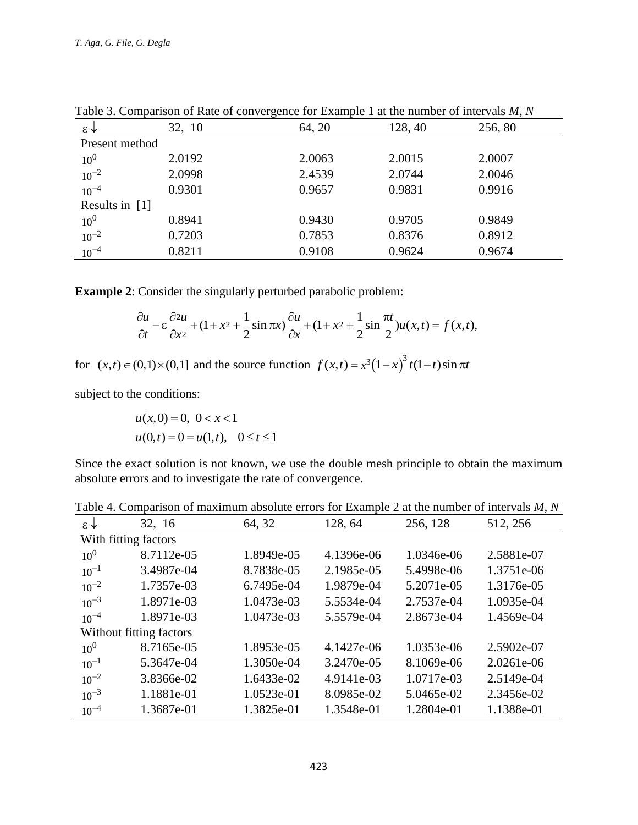|                 |        | $-0.11 + 0.17 - 0.000$ |         |        |  |
|-----------------|--------|------------------------|---------|--------|--|
| $\xi \uparrow$  | 32, 10 | 64, 20                 | 128, 40 | 256,80 |  |
| Present method  |        |                        |         |        |  |
| 10 <sup>0</sup> | 2.0192 | 2.0063                 | 2.0015  | 2.0007 |  |
| $10^{-2}$       | 2.0998 | 2.4539                 | 2.0744  | 2.0046 |  |
| $10^{-4}$       | 0.9301 | 0.9657                 | 0.9831  | 0.9916 |  |
| Results in [1]  |        |                        |         |        |  |
| 10 <sup>0</sup> | 0.8941 | 0.9430                 | 0.9705  | 0.9849 |  |
| $10^{-2}$       | 0.7203 | 0.7853                 | 0.8376  | 0.8912 |  |
| $10^{-4}$       | 0.8211 | 0.9108                 | 0.9624  | 0.9674 |  |

Table 3. Comparison of Rate of convergence for Example 1 at the number of intervals *M, N*

**Example 2**: Consider the singularly perturbed parabolic problem:

Consider the singularity perturbed parabolic problem:  
\n
$$
\frac{\partial u}{\partial t} - \varepsilon \frac{\partial^2 u}{\partial x^2} + (1 + x^2 + \frac{1}{2} \sin \pi x) \frac{\partial u}{\partial x} + (1 + x^2 + \frac{1}{2} \sin \frac{\pi t}{2}) u(x, t) = f(x, t),
$$

for  $(x,t) \in (0,1) \times (0,1]$  and the source function  $f(x,t) = x^3(1-x)^3 t(1-t) \sin \pi t$ 

subject to the conditions:

$$
u(x, 0) = 0, \ 0 < x < 1
$$
  

$$
u(0,t) = 0 = u(1,t), \ 0 \le t \le 1
$$

Since the exact solution is not known, we use the double mesh principle to obtain the maximum absolute errors and to investigate the rate of convergence.

| Twore in companion of maximum absolute chois for Example 2 at the number of meet value, $m$ , $m$ |            |            |            |            |            |  |
|---------------------------------------------------------------------------------------------------|------------|------------|------------|------------|------------|--|
| $\epsilon \downarrow$                                                                             | 32, 16     | 64, 32     | 128, 64    | 256, 128   | 512, 256   |  |
| With fitting factors                                                                              |            |            |            |            |            |  |
| 10 <sup>0</sup>                                                                                   | 8.7112e-05 | 1.8949e-05 | 4.1396e-06 | 1.0346e-06 | 2.5881e-07 |  |
| $10^{-1}$                                                                                         | 3.4987e-04 | 8.7838e-05 | 2.1985e-05 | 5.4998e-06 | 1.3751e-06 |  |
| $10^{-2}$                                                                                         | 1.7357e-03 | 6.7495e-04 | 1.9879e-04 | 5.2071e-05 | 1.3176e-05 |  |
| $10^{-3}$                                                                                         | 1.8971e-03 | 1.0473e-03 | 5.5534e-04 | 2.7537e-04 | 1.0935e-04 |  |
| $10^{-4}$                                                                                         | 1.8971e-03 | 1.0473e-03 | 5.5579e-04 | 2.8673e-04 | 1.4569e-04 |  |
| Without fitting factors                                                                           |            |            |            |            |            |  |
| 10 <sup>0</sup>                                                                                   | 8.7165e-05 | 1.8953e-05 | 4.1427e-06 | 1.0353e-06 | 2.5902e-07 |  |
| $10^{-1}$                                                                                         | 5.3647e-04 | 1.3050e-04 | 3.2470e-05 | 8.1069e-06 | 2.0261e-06 |  |
| $10^{-2}$                                                                                         | 3.8366e-02 | 1.6433e-02 | 4.9141e-03 | 1.0717e-03 | 2.5149e-04 |  |
| $10^{-3}$                                                                                         | 1.1881e-01 | 1.0523e-01 | 8.0985e-02 | 5.0465e-02 | 2.3456e-02 |  |
| $10^{-4}$                                                                                         | 1.3687e-01 | 1.3825e-01 | 1.3548e-01 | 1.2804e-01 | 1.1388e-01 |  |

Table 4. Comparison of maximum absolute errors for Example 2 at the number of intervals *M, N*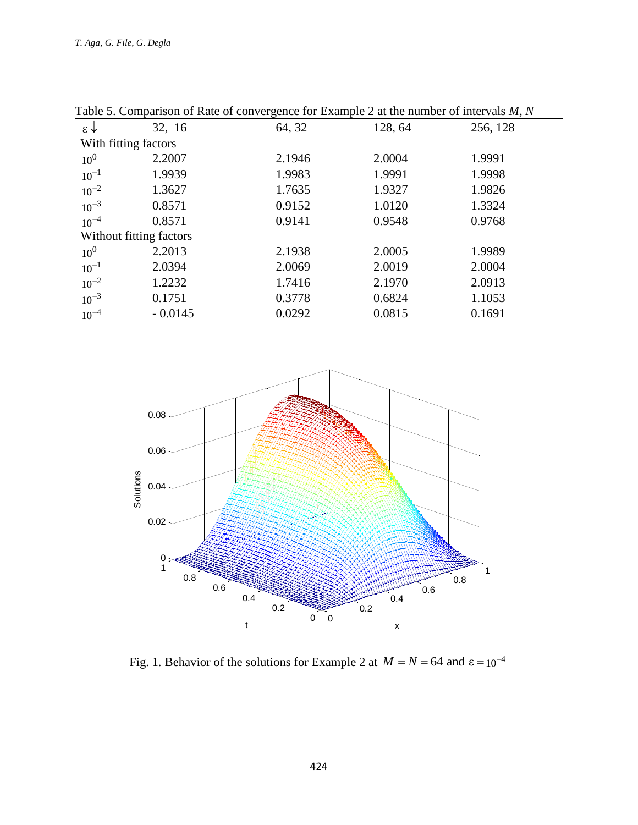| $\circ$                 |           |        |         |          |  |  |  |
|-------------------------|-----------|--------|---------|----------|--|--|--|
| $\epsilon \downarrow$   | 32, 16    | 64, 32 | 128, 64 | 256, 128 |  |  |  |
| With fitting factors    |           |        |         |          |  |  |  |
| 10 <sup>0</sup>         | 2.2007    | 2.1946 | 2.0004  | 1.9991   |  |  |  |
| $10^{-1}$               | 1.9939    | 1.9983 | 1.9991  | 1.9998   |  |  |  |
| $10^{-2}$               | 1.3627    | 1.7635 | 1.9327  | 1.9826   |  |  |  |
| $10^{-3}$               | 0.8571    | 0.9152 | 1.0120  | 1.3324   |  |  |  |
| $10^{-4}$               | 0.8571    | 0.9141 | 0.9548  | 0.9768   |  |  |  |
| Without fitting factors |           |        |         |          |  |  |  |
| 10 <sup>0</sup>         | 2.2013    | 2.1938 | 2.0005  | 1.9989   |  |  |  |
| $10^{-1}$               | 2.0394    | 2.0069 | 2.0019  | 2.0004   |  |  |  |
| $10^{-2}$               | 1.2232    | 1.7416 | 2.1970  | 2.0913   |  |  |  |
| $10^{-3}$               | 0.1751    | 0.3778 | 0.6824  | 1.1053   |  |  |  |
| $10^{-4}$               | $-0.0145$ | 0.0292 | 0.0815  | 0.1691   |  |  |  |

Table 5. Comparison of Rate of convergence for Example 2 at the number of intervals *M, N*



Fig. 1. Behavior of the solutions for Example 2 at  $M = N = 64$  and  $\epsilon = 10^{-4}$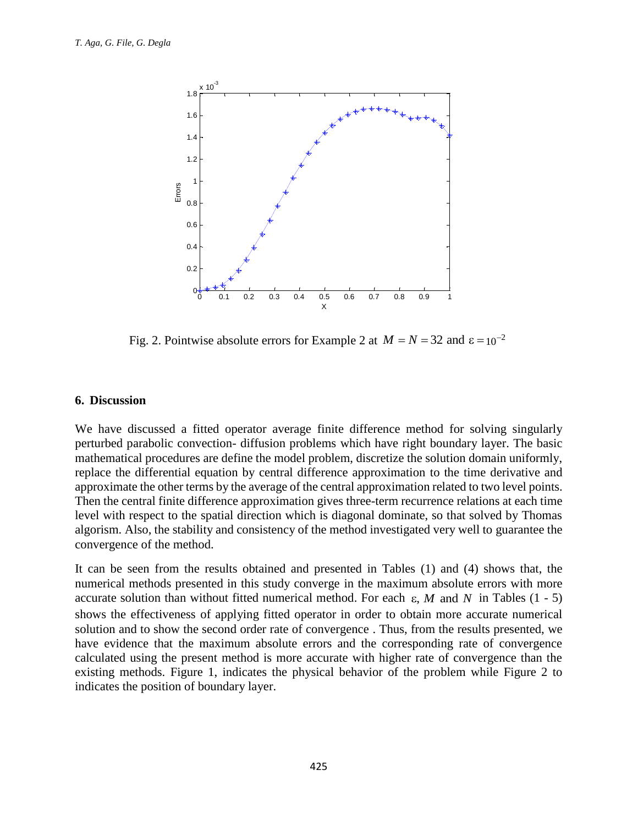

Fig. 2. Pointwise absolute errors for Example 2 at  $M = N = 32$  and  $\epsilon = 10^{-2}$ 

### **6. Discussion**

We have discussed a fitted operator average finite difference method for solving singularly perturbed parabolic convection- diffusion problems which have right boundary layer. The basic mathematical procedures are define the model problem, discretize the solution domain uniformly, replace the differential equation by central difference approximation to the time derivative and approximate the other terms by the average of the central approximation related to two level points. Then the central finite difference approximation gives three-term recurrence relations at each time level with respect to the spatial direction which is diagonal dominate, so that solved by Thomas algorism. Also, the stability and consistency of the method investigated very well to guarantee the convergence of the method.

It can be seen from the results obtained and presented in Tables (1) and (4) shows that, the numerical methods presented in this study converge in the maximum absolute errors with more accurate solution than without fitted numerical method. For each  $\varepsilon$ , M and N in Tables (1 - 5) shows the effectiveness of applying fitted operator in order to obtain more accurate numerical solution and to show the second order rate of convergence . Thus, from the results presented, we have evidence that the maximum absolute errors and the corresponding rate of convergence calculated using the present method is more accurate with higher rate of convergence than the existing methods. Figure 1, indicates the physical behavior of the problem while Figure 2 to indicates the position of boundary layer.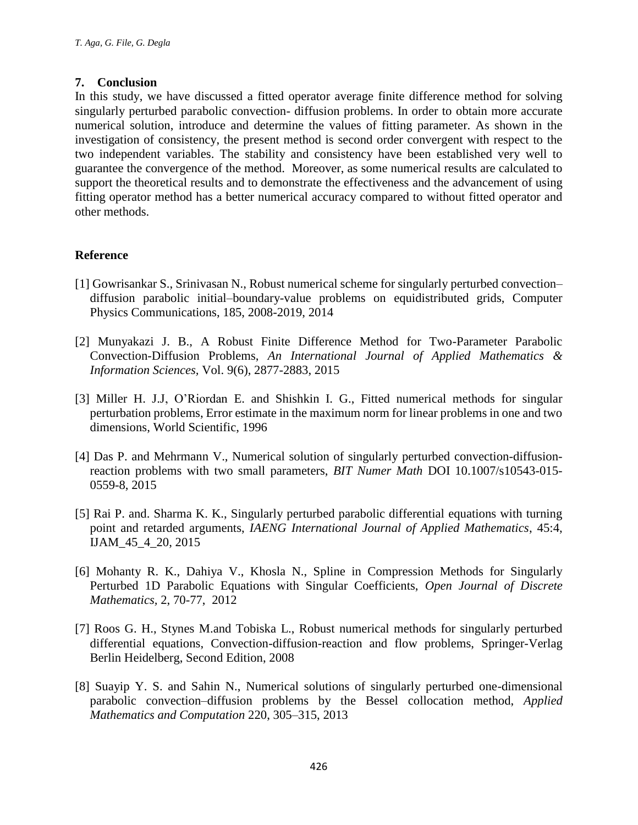## **7. Conclusion**

In this study, we have discussed a fitted operator average finite difference method for solving singularly perturbed parabolic convection- diffusion problems. In order to obtain more accurate numerical solution, introduce and determine the values of fitting parameter. As shown in the investigation of consistency, the present method is second order convergent with respect to the two independent variables. The stability and consistency have been established very well to guarantee the convergence of the method. Moreover, as some numerical results are calculated to support the theoretical results and to demonstrate the effectiveness and the advancement of using fitting operator method has a better numerical accuracy compared to without fitted operator and other methods.

# **Reference**

- [1] Gowrisankar S., Srinivasan N., Robust numerical scheme for singularly perturbed convection– diffusion parabolic initial–boundary-value problems on equidistributed grids, Computer Physics Communications, 185, 2008-2019, 2014
- [2] Munyakazi J. B., A Robust Finite Difference Method for Two-Parameter Parabolic Convection-Diffusion Problems, *An International Journal of Applied Mathematics & Information Sciences,* Vol. 9(6), 2877-2883, 2015
- [3] Miller H. J.J, O'Riordan E. and Shishkin I. G., Fitted numerical methods for singular perturbation problems, Error estimate in the maximum norm for linear problems in one and two dimensions, World Scientific, 1996
- [4] Das P. and Mehrmann V., Numerical solution of singularly perturbed convection-diffusionreaction problems with two small parameters, *BIT Numer Math* DOI 10.1007/s10543-015- 0559-8, 2015
- [5] Rai P. and. Sharma K. K., Singularly perturbed parabolic differential equations with turning point and retarded arguments, *IAENG International Journal of Applied Mathematics*, 45:4, IJAM\_45\_4\_20, 2015
- [6] Mohanty R. K., Dahiya V., Khosla N., Spline in Compression Methods for Singularly Perturbed 1D Parabolic Equations with Singular Coefficients, *Open Journal of Discrete Mathematics,* 2, 70-77, 2012
- [7] Roos G. H., Stynes M.and Tobiska L., Robust numerical methods for singularly perturbed differential equations, Convection-diffusion-reaction and flow problems, Springer-Verlag Berlin Heidelberg, Second Edition, 2008
- [8] Suayip Y. S. and Sahin N., Numerical solutions of singularly perturbed one-dimensional parabolic convection–diffusion problems by the Bessel collocation method, *Applied Mathematics and Computation* 220, 305–315, 2013